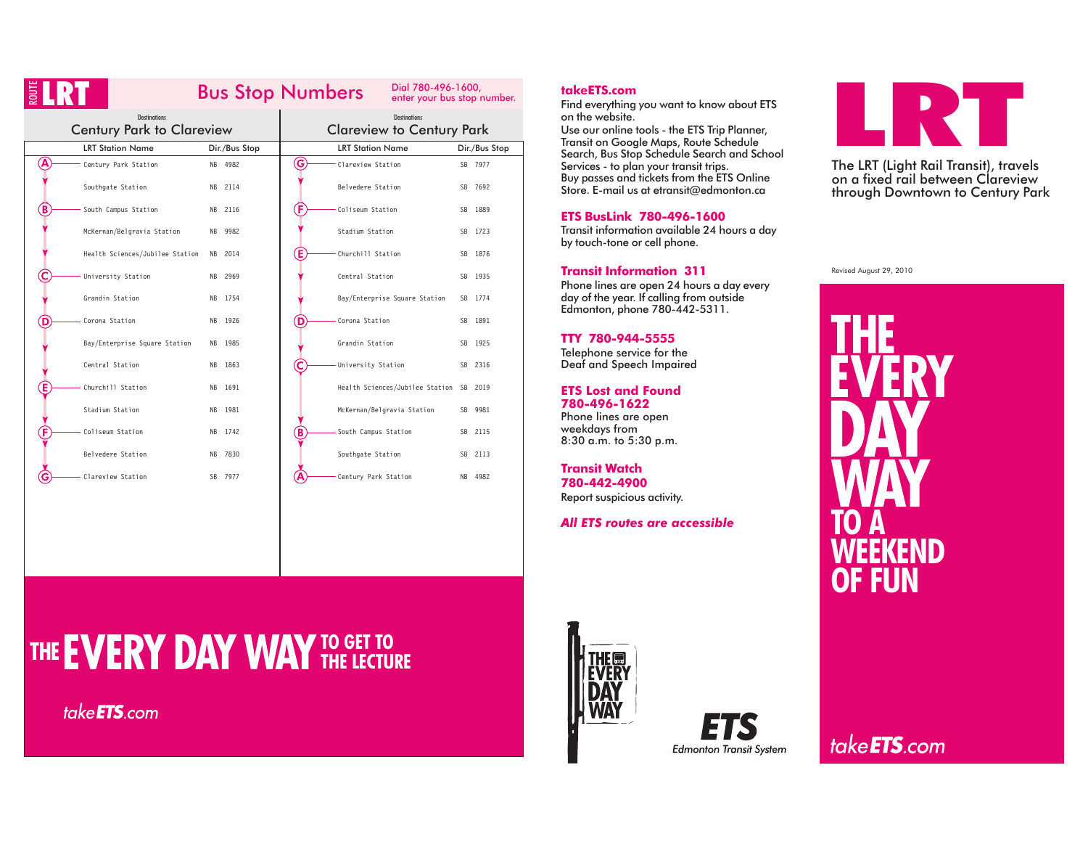|   |                                                         |                        | Dial 780-496-1600,<br><b>Bus Stop Numbers</b><br>enter your bus stop number. |                        |  |  |  |  |  |  |  |
|---|---------------------------------------------------------|------------------------|------------------------------------------------------------------------------|------------------------|--|--|--|--|--|--|--|
|   | <b>Destinations</b><br><b>Century Park to Clareview</b> |                        | <b>Destinations</b><br><b>Clareview to Century Park</b>                      |                        |  |  |  |  |  |  |  |
|   | <b>LRT Station Name</b>                                 | Dir./Bus Stop          | <b>LRT Station Name</b>                                                      | Dir./Bus Stop          |  |  |  |  |  |  |  |
| Ά | Century Park Station                                    | NB 4982                | G<br>Clareview Station                                                       | SB 7977                |  |  |  |  |  |  |  |
|   | Southgate Station                                       | 2114<br><b>NB</b>      | Belvedere Station                                                            | SB 7692                |  |  |  |  |  |  |  |
|   | South Campus Station                                    | NB 2116                | Έ<br>Coliseum Station                                                        | SB<br>1889             |  |  |  |  |  |  |  |
|   | McKernan/Belgravia Station                              | 9982<br><b>NB</b>      | Stadium Station                                                              | SB 1723                |  |  |  |  |  |  |  |
|   | Health Sciences/Jubilee Station                         | NB 2014                | Έ<br>Churchill Station                                                       | 1876<br>SB             |  |  |  |  |  |  |  |
|   | University Station                                      | 2969<br><b>NB</b>      | Central Station                                                              | SB 1935                |  |  |  |  |  |  |  |
|   | Grandin Station                                         | 1754<br><b>NB</b>      | Bay/Enterprise Square Station                                                | SB 1774                |  |  |  |  |  |  |  |
|   | Corona Station                                          | 1926<br><b>NB</b>      | Corona Station<br>D                                                          | 1891<br>SB.            |  |  |  |  |  |  |  |
|   | Bay/Enterprise Square Station                           | 1985<br><b>NB</b>      | Grandin Station                                                              | SB 1925                |  |  |  |  |  |  |  |
|   | Central Station                                         | 1863<br><b>NB</b>      | С<br>University Station                                                      | SB 2316                |  |  |  |  |  |  |  |
|   | Churchill Station                                       | 1691<br><b>NB</b>      | Health Sciences/Jubilee Station SB 2019                                      |                        |  |  |  |  |  |  |  |
|   | Stadium Station                                         | 1981<br>NB             | McKernan/Belgravia Station                                                   | 9981<br>SB.            |  |  |  |  |  |  |  |
|   | Coliseum Station                                        | 1742<br>N <sub>R</sub> | B<br>South Campus Station                                                    | SB.<br>2115            |  |  |  |  |  |  |  |
|   | Belvedere Station                                       | 7830<br><b>NB</b>      | Southgate Station                                                            | 2113<br>SB             |  |  |  |  |  |  |  |
|   | Clareview Station                                       | 7977<br><b>SB</b>      | Century Park Station                                                         | 4982<br>N <sub>R</sub> |  |  |  |  |  |  |  |
|   |                                                         |                        |                                                                              |                        |  |  |  |  |  |  |  |

# **takeETS.com**

Find everything you want to know about ETS on the website.

Use our online tools - the ETS Trip Planner, Transit on Google Maps, Route Schedule Search, Bus Stop Schedule Search and School Services - to plan your transit trips. Buy passes and tickets from the ETS Online Store. E-mail us at etransit@edmonton.ca

### **ETS BusLink 780-496-1600**

 Transit information available 24 hours <sup>a</sup> day by touch-tone or cell phone.

#### **Transit Information 311**

Phone lines are open 24 hours <sup>a</sup> day every day of the year. If calling from outside Edmonton, phone 780-442-5311.

#### **TTY 780-944-5555**

Telephone service for the Deaf and Speech Impaired

**ETS Lost and Found780-496-1622**Phone lines are open

weekdays from 8:30 a.m. to 5:30 p.m.

**Transit Watch780-442-4900**Report suspicious activity.

# *All ETS routes are accessible*



The LRT (Light Rail Transit), travels on <sup>a</sup> fixed rail between Clareviewthrough Downtown to Century Park

Revised August 29, 2010



# **TO GET TO THE LECTURE**

take**ETS**.com





take**ETS**.com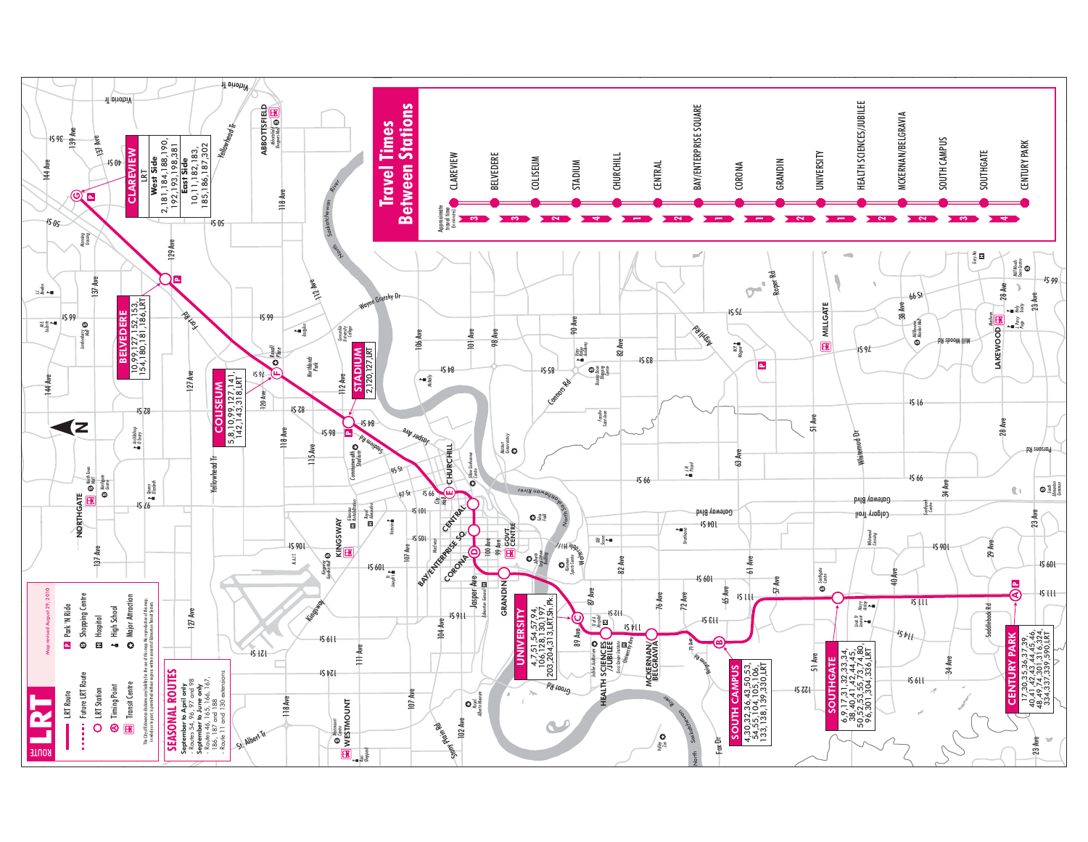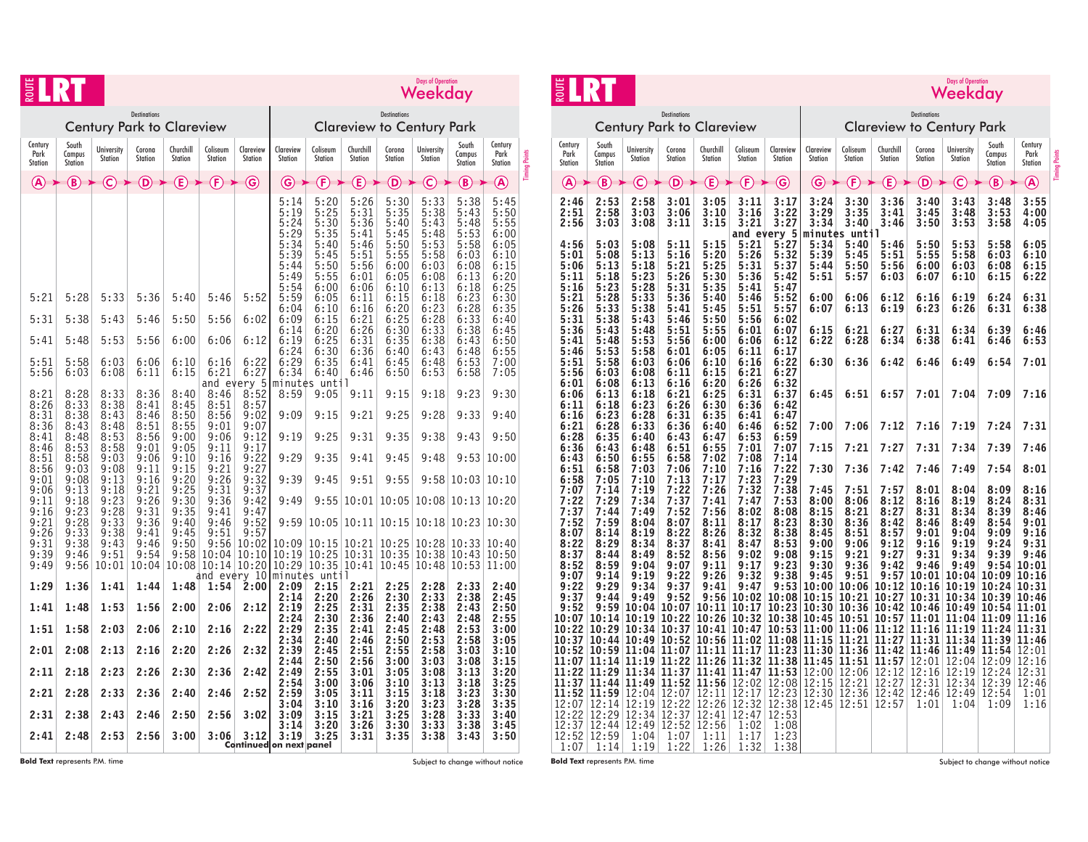| ROUT                                                                                                                                                                         |                                                                                                                                                                              | <b>Days of Operation</b><br>Weekday                                                                                                                                           |                                                                                                                                                                               |                                                                                                                                                                      |                                                                                                                                                                                      |                                                                                                                                                                                                |                                                                                                                                                                                                                         |                                                                                                                                                                                                                                               |                                                                                                                                                                                                                               |                                                                                                                                                                                                                               |                                                                                                                                                                                                                           |                                                                                                                                                                                                                                                           |                                                                                                                                                                                                                             |                      |
|------------------------------------------------------------------------------------------------------------------------------------------------------------------------------|------------------------------------------------------------------------------------------------------------------------------------------------------------------------------|-------------------------------------------------------------------------------------------------------------------------------------------------------------------------------|-------------------------------------------------------------------------------------------------------------------------------------------------------------------------------|----------------------------------------------------------------------------------------------------------------------------------------------------------------------|--------------------------------------------------------------------------------------------------------------------------------------------------------------------------------------|------------------------------------------------------------------------------------------------------------------------------------------------------------------------------------------------|-------------------------------------------------------------------------------------------------------------------------------------------------------------------------------------------------------------------------|-----------------------------------------------------------------------------------------------------------------------------------------------------------------------------------------------------------------------------------------------|-------------------------------------------------------------------------------------------------------------------------------------------------------------------------------------------------------------------------------|-------------------------------------------------------------------------------------------------------------------------------------------------------------------------------------------------------------------------------|---------------------------------------------------------------------------------------------------------------------------------------------------------------------------------------------------------------------------|-----------------------------------------------------------------------------------------------------------------------------------------------------------------------------------------------------------------------------------------------------------|-----------------------------------------------------------------------------------------------------------------------------------------------------------------------------------------------------------------------------|----------------------|
|                                                                                                                                                                              |                                                                                                                                                                              |                                                                                                                                                                               | <b>Destinations</b>                                                                                                                                                           | <b>Century Park to Clareview</b>                                                                                                                                     |                                                                                                                                                                                      |                                                                                                                                                                                                |                                                                                                                                                                                                                         |                                                                                                                                                                                                                                               | <b>Destinations</b>                                                                                                                                                                                                           | <b>Clareview to Century Park</b>                                                                                                                                                                                              |                                                                                                                                                                                                                           |                                                                                                                                                                                                                                                           |                                                                                                                                                                                                                             |                      |
| Century<br>Park<br><b>Station</b>                                                                                                                                            | South<br>Campus<br>Station                                                                                                                                                   | <b>University</b><br><b>Station</b>                                                                                                                                           | Corona<br>Station                                                                                                                                                             | Churchill<br><b>Station</b>                                                                                                                                          | Coliseum<br><b>Station</b>                                                                                                                                                           | Clareview<br>Station                                                                                                                                                                           | Clareview<br>Station                                                                                                                                                                                                    | Coliseum<br><b>Station</b>                                                                                                                                                                                                                    | Churchill<br>Station                                                                                                                                                                                                          | Corona<br><b>Station</b>                                                                                                                                                                                                      | <b>University</b><br><b>Station</b>                                                                                                                                                                                       | South<br>Campus<br><b>Station</b>                                                                                                                                                                                                                         | Century<br>Park<br>Station                                                                                                                                                                                                  | <b>Timing Points</b> |
| (A)                                                                                                                                                                          | (B)                                                                                                                                                                          | (C                                                                                                                                                                            | (D)                                                                                                                                                                           | $\bf(\widehat{E})$                                                                                                                                                   | (F)                                                                                                                                                                                  | (G)                                                                                                                                                                                            | G                                                                                                                                                                                                                       | (F                                                                                                                                                                                                                                            | E.                                                                                                                                                                                                                            | D)                                                                                                                                                                                                                            | C                                                                                                                                                                                                                         | (B                                                                                                                                                                                                                                                        | $\left( \bigwedge \right)$                                                                                                                                                                                                  |                      |
| 5:21<br>5:31<br>5:41<br>5:51<br>5:56<br>8:21<br>8:26<br>8:31<br>8:36<br>8:41<br>8:46<br>8:51<br>8:56<br>9:01<br>9:06<br>9:11<br>9:16<br>9:21<br>9:26<br>9:31<br>9:39<br>9:49 | 5:28<br>5:38<br>5:48<br>5:58<br>6:03<br>8:28<br>8:33<br>8:38<br>8:43<br>8:48<br>8:53<br>8:58<br>9:03<br>9:08<br>9:13<br>9:18<br>9:23<br>9:28<br>9:33<br>9:38<br>9:46<br>9:56 | 5:33<br>5:43<br>5:53<br>6:03<br>6:08<br>8:33<br>8:38<br>8:43<br>8:48<br>8:53<br>8:58<br>9:03<br>9:08<br>9:13<br>9:18<br>9:23<br>9:28<br>9:33<br>9:38<br>9:43<br>9:51<br>10:01 | 5:36<br>5:46<br>5:56<br>6:06<br>6:11<br>8:36<br>8:41<br>8:46<br>8:51<br>8:56<br>9:01<br>9:06<br>9:11<br>9:16<br>9:21<br>9:26<br>9:31<br>9:36<br>9:41<br>9:46<br>9:54<br>10:04 | 5:40<br>5:50<br>6:00<br>6:10<br>6:15<br>8:40<br>8:45<br>8:50<br>8:55<br>9:00<br>9:05<br>9:10<br>9:15<br>9:20<br>9:25<br>9:30<br>9:35<br>9:40<br>9:45<br>9:50<br>9:58 | 5:46<br>5:56<br>6:06<br>6:16<br>6:21<br>8:46<br>8:51<br>8:56<br>9:01<br>9:06<br>9:11<br>9:16<br>9:21<br>9:26<br>9:31<br>9:36<br>9:41<br>9:46<br>9:51<br>9:56<br>10:04<br>10:08 10:14 | 5:52<br>6:02<br>6:12<br>6:22<br>6:27<br>and every 5<br>8:52<br>8:57<br>9:02<br>9:07<br>9:12<br>9:17<br>9:22<br>9:27<br>9:32<br>9:37<br>9:42<br>9:47<br>9:52<br>9:57<br>10:02<br>10:10<br>10:20 | 5:14<br>5:19<br>5:24<br>5:29<br>5:34<br>5:39<br>5:44<br>5:49<br>5:54<br>5:59<br>6:04<br>6:09<br>6:14<br>6:19<br>6:24<br>6:29<br>6:34<br>8:59<br>9:09<br>9:19<br>9:29<br>9:39<br>9:49<br>9:59<br>10:09<br>10:19<br>10:29 | 5:20<br>5:25<br>5:30<br>5:35<br>5:40<br>5:45<br>5:50<br>5:55<br>6:00<br>6:05<br>6:10<br>6:15<br>$6:20$<br>$6:25$<br>6:30<br>6:35<br>6:40<br>minutės until<br>9:05<br>9:15<br>9:25<br>9:35<br>9:45<br>9:55<br>10:05<br>10:15<br>10:25<br>10:35 | 5:26<br>5:31<br>5:36<br>5:41<br>5:46<br>5:51<br>5:56<br>6:01<br>6:06<br>6:11<br>6:16<br>6:21<br>$6:26$<br>$6:31$<br>6:36<br>6:41<br>6:46<br>9:11<br>9:21<br>9:31<br>9:41<br>9:51<br>10:01<br>10:11<br>10:21<br>10:31<br>10:41 | 5:30<br>5:35<br>5:40<br>5:45<br>5:50<br>5:55<br>6:00<br>6:05<br>6:10<br>6:15<br>6:20<br>6:25<br>$6:30$<br>$6:35$<br>6:40<br>6:45<br>6:50<br>9:15<br>9:25<br>9:35<br>9:45<br>9:55<br>10:05<br>10:15<br>10:25<br>10:35<br>10:45 | 5:33<br>5:38<br>5:43<br>5:48<br>5:53<br>5:58<br>6:03<br>6:08<br>6:13<br>6:18<br>6:23<br>6:28<br>6:33<br>6:38<br>6:43<br>6:48<br>6:53<br>9:18<br>9:28<br>9:38<br>9:48<br>9:58<br>10:08<br>10:18<br>10:28<br>10:38<br>10:48 | 5:38<br>5:43<br>5:48<br>5:53<br>5:58<br>6:03<br>6:08<br>6:13<br>6:18<br>$\begin{array}{c} 6:23 \\ 6:28 \end{array}$<br>6:33<br>6:38<br>6:43<br>6:48<br>6:53<br>6:58<br>9:23<br>9:33<br>9:43<br>9:53<br>10:03<br>10:13<br>10:23<br>10:33<br>10:43<br>10:53 | 5:45<br>5:50<br>5:55<br>6:00<br>6:05<br>6:10<br>6:15<br>6:20<br>6:25<br>6:30<br>6:35<br>6:40<br>6:45<br>6:50<br>6:55<br>7:00<br>7:05<br>9:30<br>9:40<br>9:50<br>10:00<br>10:10<br>10:20<br>10:30<br>10:40<br>10:50<br>11:00 |                      |
| 1:29                                                                                                                                                                         | 1:36                                                                                                                                                                         | 1:41                                                                                                                                                                          | 1:44                                                                                                                                                                          | 1:48                                                                                                                                                                 |                                                                                                                                                                                      | and every 10<br>1:54 2:00                                                                                                                                                                      | 2:09                                                                                                                                                                                                                    | minutes until<br>2:15                                                                                                                                                                                                                         | 2:21                                                                                                                                                                                                                          | 2:25                                                                                                                                                                                                                          | 2:28                                                                                                                                                                                                                      | 2:33                                                                                                                                                                                                                                                      | 2:40                                                                                                                                                                                                                        |                      |
| 1:41                                                                                                                                                                         | 1:48                                                                                                                                                                         | 1:53                                                                                                                                                                          | 1:56                                                                                                                                                                          | 2:00                                                                                                                                                                 | 2:06                                                                                                                                                                                 | 2:12                                                                                                                                                                                           | 2:14<br>2:19                                                                                                                                                                                                            | 2:20<br>2:25                                                                                                                                                                                                                                  | 2:26<br>2:31                                                                                                                                                                                                                  | 2:30<br>2:35                                                                                                                                                                                                                  | 2:33<br>2:38                                                                                                                                                                                                              | 2:38<br>2:43                                                                                                                                                                                                                                              | 2:45<br>2:50                                                                                                                                                                                                                |                      |
| 1:51                                                                                                                                                                         | 1:58                                                                                                                                                                         | 2:03                                                                                                                                                                          | 2:06                                                                                                                                                                          | 2:10                                                                                                                                                                 | 2:16                                                                                                                                                                                 | 2:22                                                                                                                                                                                           | 2:24<br>2:29                                                                                                                                                                                                            | 2:30<br>2:35                                                                                                                                                                                                                                  | 2:36<br>2:41                                                                                                                                                                                                                  | 2:40<br>2:45                                                                                                                                                                                                                  | 2:43<br>2:48                                                                                                                                                                                                              | 2:48<br>2:53                                                                                                                                                                                                                                              | 2:55<br>3:00                                                                                                                                                                                                                |                      |
| 2:01                                                                                                                                                                         | 2:08                                                                                                                                                                         | 2:13                                                                                                                                                                          | 2:16                                                                                                                                                                          | 2:20                                                                                                                                                                 | 2:26                                                                                                                                                                                 | 2:32                                                                                                                                                                                           | 2:34<br>2:39                                                                                                                                                                                                            | 2:40<br>2:45                                                                                                                                                                                                                                  | 2:46<br>2:51                                                                                                                                                                                                                  | 2:50<br>2:55                                                                                                                                                                                                                  | 2:53<br>2:58                                                                                                                                                                                                              | 2:58<br>3:03                                                                                                                                                                                                                                              | 3:05<br>3:10                                                                                                                                                                                                                |                      |
| 2:11                                                                                                                                                                         | 2:18                                                                                                                                                                         | 2:23                                                                                                                                                                          | 2:26                                                                                                                                                                          | 2:30                                                                                                                                                                 | 2:36                                                                                                                                                                                 | 2:42                                                                                                                                                                                           | 2:44<br>2:49<br>2:54                                                                                                                                                                                                    | 2:50<br>2:55<br>3:00                                                                                                                                                                                                                          | 2:56<br>3:01<br>3:06                                                                                                                                                                                                          | 3:00<br>3:05<br>3:10                                                                                                                                                                                                          | 3:03<br>3:08<br>3:13                                                                                                                                                                                                      | 3:08<br>3:13<br>3:18                                                                                                                                                                                                                                      | 3:15<br>3:20<br>3:25                                                                                                                                                                                                        |                      |
| 2:21                                                                                                                                                                         | 2:28                                                                                                                                                                         | 2:33                                                                                                                                                                          | 2:36                                                                                                                                                                          | 2:40                                                                                                                                                                 | 2:46                                                                                                                                                                                 | 2:52                                                                                                                                                                                           | 2:59<br>3:04                                                                                                                                                                                                            | 3:05<br>3:10                                                                                                                                                                                                                                  | 3:11<br>3:16                                                                                                                                                                                                                  | 3:15<br>3:20                                                                                                                                                                                                                  | 3:18<br>3:23                                                                                                                                                                                                              | 3:23<br>3:28                                                                                                                                                                                                                                              | 3:30<br>3:35                                                                                                                                                                                                                |                      |
| 2:31                                                                                                                                                                         | 2:38                                                                                                                                                                         | 2:43                                                                                                                                                                          | 2:46                                                                                                                                                                          | 2:50                                                                                                                                                                 | 2:56                                                                                                                                                                                 | 3:02                                                                                                                                                                                           | 3:09<br>3:14                                                                                                                                                                                                            | 3:15<br>3:20                                                                                                                                                                                                                                  | 3:21<br>3:26                                                                                                                                                                                                                  | 3:25<br>3:30                                                                                                                                                                                                                  | 3:28<br>3:33                                                                                                                                                                                                              | 3:33<br>3:38                                                                                                                                                                                                                                              | 3:40<br>3:45                                                                                                                                                                                                                |                      |
| 2:41                                                                                                                                                                         | 2:48                                                                                                                                                                         | 2:53                                                                                                                                                                          | 2:56                                                                                                                                                                          | 3:00                                                                                                                                                                 | 3:06                                                                                                                                                                                 | 3:12<br>Continued on next panel                                                                                                                                                                | 3:19                                                                                                                                                                                                                    | 3:25                                                                                                                                                                                                                                          | 3:31                                                                                                                                                                                                                          | 3:35                                                                                                                                                                                                                          | 3:38                                                                                                                                                                                                                      | 3:43                                                                                                                                                                                                                                                      | 3:50                                                                                                                                                                                                                        |                      |

| entury Park |                                                                                                      |                                                                                                      |                                                                                                      |                   |                                                                                                                          | <b>Century Park to Clareview</b>                                                                                         | <b>Destinations</b>                                                                                                              |                                                                                                                 |                                                                                                                 |                                                                                                                      | <b>Destinations</b><br><b>Clareview to Century Park</b>                                                           |                              |                                                                                                                                                                             |                                           |                                                   |                                                                                                                                 |                                                                                                                                                     |                                                                             |                      |
|-------------|------------------------------------------------------------------------------------------------------|------------------------------------------------------------------------------------------------------|------------------------------------------------------------------------------------------------------|-------------------|--------------------------------------------------------------------------------------------------------------------------|--------------------------------------------------------------------------------------------------------------------------|----------------------------------------------------------------------------------------------------------------------------------|-----------------------------------------------------------------------------------------------------------------|-----------------------------------------------------------------------------------------------------------------|----------------------------------------------------------------------------------------------------------------------|-------------------------------------------------------------------------------------------------------------------|------------------------------|-----------------------------------------------------------------------------------------------------------------------------------------------------------------------------|-------------------------------------------|---------------------------------------------------|---------------------------------------------------------------------------------------------------------------------------------|-----------------------------------------------------------------------------------------------------------------------------------------------------|-----------------------------------------------------------------------------|----------------------|
|             | <b>University</b><br>Station                                                                         | South<br>Campus<br><b>Station</b>                                                                    | Century<br>Park<br><b>Station</b>                                                                    | <b>Timing Poi</b> | Century<br>Park<br><b>Station</b>                                                                                        | South<br>Campus<br>Station                                                                                               | <b>University</b><br>Station                                                                                                     | Corona<br><b>Station</b>                                                                                        | Churchill<br>Station                                                                                            | Coliseum<br>Station                                                                                                  | Clareview<br>Station                                                                                              | Clareview<br>Station         | Coliseum<br>Station                                                                                                                                                         | Churchill<br>Station                      | Corona<br><b>Station</b>                          | <b>University</b><br><b>Station</b>                                                                                             | South<br>Campus<br><b>Station</b>                                                                                                                   | Century<br>Park<br>Station                                                  | <b>Timing Points</b> |
|             | (C)                                                                                                  | $\left( \text{\textbf{B}}\right)$                                                                    | $\bigcircledA$                                                                                       |                   | $\left( \mathbf{A}\right)$                                                                                               | B)                                                                                                                       | C                                                                                                                                | (D)                                                                                                             | $(\mathsf{E})$                                                                                                  | $\left(\widehat{\mathsf{F}}\right)$                                                                                  | $\bf G$                                                                                                           | (G)                          | $\left(\mathbf{F}\right)$                                                                                                                                                   | $\mathsf{(E)}$                            | (D)                                               | $\mathbf{\widehat{c}}$                                                                                                          | (B)                                                                                                                                                 | $\circledA$                                                                 |                      |
|             | 5:33<br>5:38<br>5:43<br>5:48                                                                         | 5:38<br>5:43<br>5:48<br>5:53                                                                         | 5:45<br>5:50<br>5:55<br>6:00                                                                         |                   | 2:46<br>2:51<br>2:56                                                                                                     | 2:53<br>2:58<br>3:03                                                                                                     | 2:58<br>3:03<br>3:08                                                                                                             | 3:01<br>3:06<br>3:11                                                                                            | 3:05<br>3:10<br>3:15                                                                                            | 3:11<br>3:16<br>3:21                                                                                                 | 3:17<br>3:22<br>3:27<br>and every 5                                                                               | 3:24<br>3:29<br>3:34         | 3:30<br>3:35<br>3:40<br>minutes until                                                                                                                                       | 3:36<br>3:41<br>3:46                      | 3:40<br>3:45<br>3:50                              | 3:43<br>3:48<br>3:53                                                                                                            | 3:48<br>3:53<br>3:58                                                                                                                                | 3:55<br>4:00<br>4:05                                                        |                      |
|             | 5:53<br>5:58<br>6:03<br>6:08                                                                         | 5:58<br>6:03<br>6:08<br>6:13                                                                         | 6:05<br>6:10<br>6:15<br>6:20                                                                         |                   | 4:56<br>5:01<br>5:06<br>5:11                                                                                             | 5:03<br>5:08<br>5:13<br>5:18                                                                                             | 5:08<br>5:13<br>5:18<br>5:23                                                                                                     | 5:11<br>5:16<br>5:21<br>5:26                                                                                    | 5:15<br>5:20<br>5:25<br>5:30                                                                                    | 5:21<br>5:26<br>5:31<br>5:36                                                                                         | 5:27<br>5:32<br>5:37<br>5:42                                                                                      | 5:34<br>5:39<br>5:44<br>5:51 | 5:40<br>5:45<br>5:50<br>5:57                                                                                                                                                | 5:46<br>5:51<br>5:56<br>6:03              | 5:50<br>5:55<br>6:00<br>6:07                      | 5:53<br>5:58<br>6:03<br>6:10                                                                                                    | 5:58<br>6:03<br>6:08<br>6:15                                                                                                                        | 6:05<br>6:10<br>6:15<br>6:22                                                |                      |
|             | 6:13<br>6:18<br>6:23<br>6:28                                                                         | 6:18<br>6:23<br>6:28<br>6:33                                                                         | 6:25<br>6:30<br>6:35<br>6:40                                                                         |                   | 5:16<br>5:21<br>5:26<br>5:31                                                                                             | 5:23<br>5:28<br>5:33<br>5:38                                                                                             | 5:28<br>5:33<br>5:38<br>5:43                                                                                                     | 5:31<br>5:36<br>5:41<br>5:46                                                                                    | 5:35<br>5:40<br>5:45<br>5:50                                                                                    | 5:41<br>5:46<br>5:51<br>5:56                                                                                         | 5:47<br>5:52<br>5:57<br>6:02                                                                                      | 6:00<br>6:07                 | 6:06<br>6:13                                                                                                                                                                | 6:12<br>6:19                              | 6:16<br>6:23                                      | 6:19<br>6:26                                                                                                                    | 6:24<br>6:31                                                                                                                                        | 6:31<br>6:38                                                                |                      |
|             | 6:33<br>6:38                                                                                         | 6:38<br>6:43                                                                                         | 6:45<br>6:50                                                                                         |                   | 5:36<br>5:41                                                                                                             | 5:43<br>5:48                                                                                                             | 5:48<br>5:53                                                                                                                     | 5:51<br>5:56                                                                                                    | 5:55<br>6:00                                                                                                    | 6:01<br>6:06                                                                                                         | 6:07<br>6:12                                                                                                      | 6:15<br>6:22                 | 6:21<br>6:28                                                                                                                                                                | 6:27<br>6:34                              | 6:31<br>6:38                                      | 6:34<br>6:41                                                                                                                    | 6:39<br>6:46                                                                                                                                        | 6:46<br>6:53                                                                |                      |
|             | 6:43<br>6:48<br>6:53                                                                                 | 6:48<br>6:53<br>6:58                                                                                 | 6:55<br>7:00<br>7:05                                                                                 |                   | 5:46<br>5:51<br>5:56                                                                                                     | 5:53<br>5:58<br>6:03                                                                                                     | 5:58<br>6:03<br>6:08                                                                                                             | 6:01<br>6:06<br>6:11                                                                                            | 6:05<br>6:10<br>6:15                                                                                            | 6:11<br>6:16<br>6:21                                                                                                 | 6:17<br>6:22<br>6:27                                                                                              | 6:30                         | 6:36                                                                                                                                                                        | 6:42                                      | 6:46                                              | 6:49                                                                                                                            | 6:54                                                                                                                                                | 7:01                                                                        |                      |
|             | 9:18                                                                                                 | 9:23                                                                                                 | 9:30                                                                                                 |                   | 6:01<br>6:06<br>6:11                                                                                                     | 6:08<br>6:13<br>6:18                                                                                                     | 6:13<br>6:18<br>6:23                                                                                                             | 6:16<br>6:21<br>6:26                                                                                            | 6:20<br>6:25<br>6:30                                                                                            | 6:26<br>6:31<br>6:36                                                                                                 | 6:32<br>6:37<br>6:42                                                                                              | 6:45                         | 6:51                                                                                                                                                                        | 6:57                                      | 7:01                                              | 7:04                                                                                                                            | 7:09                                                                                                                                                | 7:16                                                                        |                      |
|             | 9:28                                                                                                 | 9:33                                                                                                 | 9:40                                                                                                 |                   | 6:16<br>6:21                                                                                                             | 6:23<br>6:28                                                                                                             | 6:28<br>6:33                                                                                                                     | 6:31<br>6:36                                                                                                    | 6:35<br>6:40                                                                                                    | 6:41<br>6:46                                                                                                         | 6:47<br>6:52                                                                                                      | 7:00                         | 7:06                                                                                                                                                                        | 7:12                                      | 7:16                                              | 7:19                                                                                                                            | 7:24                                                                                                                                                | 7:31                                                                        |                      |
|             | 9:38                                                                                                 | 9:43                                                                                                 | 9:50                                                                                                 |                   | 6:28<br>6:36                                                                                                             | 6:35<br>6:43                                                                                                             | 6:40<br>6:48                                                                                                                     | 6:43<br>6:51                                                                                                    | 6:47<br>6:55                                                                                                    | 6:53<br>7:01                                                                                                         | 6:59<br>7:07                                                                                                      | 7:15                         | 7:21                                                                                                                                                                        | 7:27                                      | 7:31                                              | 7:34                                                                                                                            | 7:39                                                                                                                                                | 7:46                                                                        |                      |
|             | 9:48                                                                                                 |                                                                                                      | 9:53 10:00                                                                                           |                   | 6:43<br>6:51                                                                                                             | 6:50<br>6:58                                                                                                             | 6:55<br>7:03                                                                                                                     | 6:58<br>7:06                                                                                                    | 7:02<br>7:10                                                                                                    | 7:08<br>7:16                                                                                                         | 7:14<br>7:22                                                                                                      | 7:30                         | 7:36                                                                                                                                                                        | 7:42                                      | 7:46                                              | 7:49                                                                                                                            | 7:54                                                                                                                                                | 8:01                                                                        |                      |
|             |                                                                                                      | 9:58 10:03 10:10                                                                                     |                                                                                                      |                   | 6:58<br>7:07                                                                                                             | 7:05<br>7:14                                                                                                             | 7:10<br>7:19                                                                                                                     | 7:13<br>7:22                                                                                                    | 7:17<br>7:26                                                                                                    | 7:23<br>7:32                                                                                                         | 7:29<br>7:38                                                                                                      | 7:45                         | 7:51                                                                                                                                                                        | 7:57                                      | 8:01                                              | 8:04                                                                                                                            | 8:09                                                                                                                                                | 8:16                                                                        |                      |
|             |                                                                                                      | $10:08$   $10:13$   $10:20$<br>$10:18$   $10:23$   $10:30$                                           |                                                                                                      |                   | 7:22<br>7:37<br>7:52                                                                                                     | 7:29<br>7:44<br>7:59                                                                                                     | 7:34<br>7:49<br>8:04                                                                                                             | 7:37<br>7:52<br>8:07                                                                                            | 7:41<br>7:56<br>8:11                                                                                            | 7:47<br>8:02<br>8:17                                                                                                 | 7:53<br>8:08<br>8:23                                                                                              | 8:00<br>8:15<br>8:30         | 8:06<br>8:21<br>8:36                                                                                                                                                        | 8:12<br>8:27<br>8:42                      | 8:16<br>8:31                                      | 8:19<br>8:34<br>8:49                                                                                                            | 8:24<br>8:39<br>8:54                                                                                                                                | 8:31<br>8:46<br>9:01                                                        |                      |
|             |                                                                                                      | 10:28 10:33 10:40                                                                                    |                                                                                                      |                   | 8:07<br>8:22                                                                                                             | 8:14<br>8:29                                                                                                             | 8:19<br>8:34                                                                                                                     | 8:22<br>8:37                                                                                                    | 8:26<br>8:41                                                                                                    | 8:32<br>8:47                                                                                                         | 8:38<br>8:53                                                                                                      | 8:45<br>9:00                 | 8:51<br>9:06                                                                                                                                                                | 8:57<br>9:12                              | 8:46<br>9:01<br>9:16                              | 9:04<br>9:19                                                                                                                    | 9:09<br>9:24                                                                                                                                        | 9:16<br>9:31                                                                |                      |
|             |                                                                                                      | 10:38 10:43 10:50<br>10:48 10:53 11:00                                                               |                                                                                                      |                   | 8:37<br>8:52<br>9:07                                                                                                     | 8:44<br>8:59<br>9:14                                                                                                     | 8:49<br>9:04<br>9:19                                                                                                             | 8:52<br>9:07<br>9:22                                                                                            | 8:56<br>9:11<br>9:26                                                                                            | 9:02<br>9:17<br>9:32                                                                                                 | 9:08<br>9:23<br>9:38                                                                                              | 9:15<br>9:30<br>9:45         | 9:21<br>9:36<br>9:51                                                                                                                                                        | 9:27<br>9:42<br>9:57                      | 9:31<br>9:46<br>10:01                             | 9:34<br>9:49<br>10:04                                                                                                           | 9:39<br>9:54<br>10:09                                                                                                                               | 9:46<br>10:01<br>10:16                                                      |                      |
|             | 2:28<br>2:33                                                                                         | 2:33<br>2:38                                                                                         | 2:40<br>2:45                                                                                         |                   | 9:22<br>9:37                                                                                                             | 9:29<br>9:44                                                                                                             | 9:34<br>9:49                                                                                                                     | 9:37<br>9:52                                                                                                    | 9:41<br>9:56                                                                                                    | 9:47<br>10:02                                                                                                        | 9:53                                                                                                              | 10:08 10:15                  | 10:00 10:06 10:12<br>10:21 10:27                                                                                                                                            |                                           |                                                   | 10:16 10:19                                                                                                                     | 10:24<br>10:31 10:34 10:39                                                                                                                          | 10:31<br>10:46                                                              |                      |
|             | 2:38<br>2:43<br>2:48<br>2:53<br>2:58<br>3:03<br>3:08<br>3:13<br>3:18<br>3:23<br>3:28<br>3:33<br>3:38 | 2:43<br>2:48<br>2:53<br>2:58<br>3:03<br>3:08<br>3:13<br>3:18<br>3:23<br>3:28<br>3:33<br>3:38<br>3:43 | 2:50<br>2:55<br>3:00<br>3:05<br>3:10<br>3:15<br>3:20<br>3:25<br>3:30<br>3:35<br>3:40<br>3:45<br>3:50 |                   | 9:52<br>10:07<br>10:22<br>10:37<br>10:52<br>11:07<br>11:22<br>11:37<br>11:52<br>12:07<br>12:22<br>12:37<br>12:52<br>1:07 | 9:59<br>10:14<br>10:29<br>10:44<br>10:59<br>11:14<br>11:29<br>11:44<br>11:59<br>12:14<br>12:29<br>12:44<br>12:59<br>1:14 | 10:04<br>10:19<br>10:34<br>10:49<br>$11:04$ 11:07<br>11:19<br>11:34<br>11:49<br>12:04<br>12:19<br>12:34<br>12:49<br>1:04<br>1:19 | 10:07<br>10:22<br>10:37<br>10:52<br>11:22<br>11:37<br>11:52<br>12:07<br>12:22<br>12:37<br>12:52<br>1:07<br>1:22 | 10:11<br>10:26<br>10:56<br>11:11<br>11:26<br>11:41<br>11:56<br>12:11<br>12:26<br>12:41<br>12:56<br>1:11<br>1:26 | 10:17<br>10:32<br>10:41 10:47<br>11:02<br>11:17<br>11:32<br>11:47<br>12:17<br>12:32<br>12:47<br>1:02<br>1:17<br>1:32 | 10:23<br>10:53<br>11:08<br>11:23<br>11:38<br>11:53<br>$12:02$   $12:08$<br>12:23<br>12:53<br>1:08<br>1:23<br>1:38 | 11:45<br>12:15<br>12:30      | 10:38 10:45 10:51 10:57 <br>$11:00$ 11:06 11:12<br>$11:15$ $11:21$ $11:27$<br>11:30 11:36 11:42 <br>11:51<br>$12:00$   $12:06$<br>12:21<br>12:36<br>$12:38$   12:45   12:51 | 11:57<br>12:12<br>12:27<br>12:42<br>12:57 | 11:31<br>12:01<br>12:16<br>12:31<br>12:46<br>1:01 | $11:01$   $11:04$   $11:09$<br>$11:16$ $11:19$ $11:24$<br>$11:34$ 11:39<br>$12:04$   $12:09$<br>12:19<br>12:34<br>12:49<br>1:04 | $\mid$ 10:30 $\mid$ 10:36 $\mid$ 10:42 $\mid$ 10:46 $\mid$ 10:49 $\mid$ 10:54 $\mid$ 11:01<br>11:46 11:49 11:54 <br>12:24<br>12:39<br>12:54<br>1:09 | 11:16<br>11:31<br>11:46<br>12:01<br>12:16<br>12:31<br>12:46<br>1:01<br>1:16 |                      |
|             |                                                                                                      |                                                                                                      | Subject to change without notice                                                                     |                   | <b>Bold Text represents P.M. time</b>                                                                                    |                                                                                                                          |                                                                                                                                  |                                                                                                                 |                                                                                                                 |                                                                                                                      |                                                                                                                   |                              |                                                                                                                                                                             |                                           |                                                   |                                                                                                                                 | Subject to change without notice                                                                                                                    |                                                                             |                      |

**Bold Text** represents P.M. time

<u>Days of Operation</u><br>Days of Operation (Description of Operation of Operation of Operation of Operation of Operation of Operation o